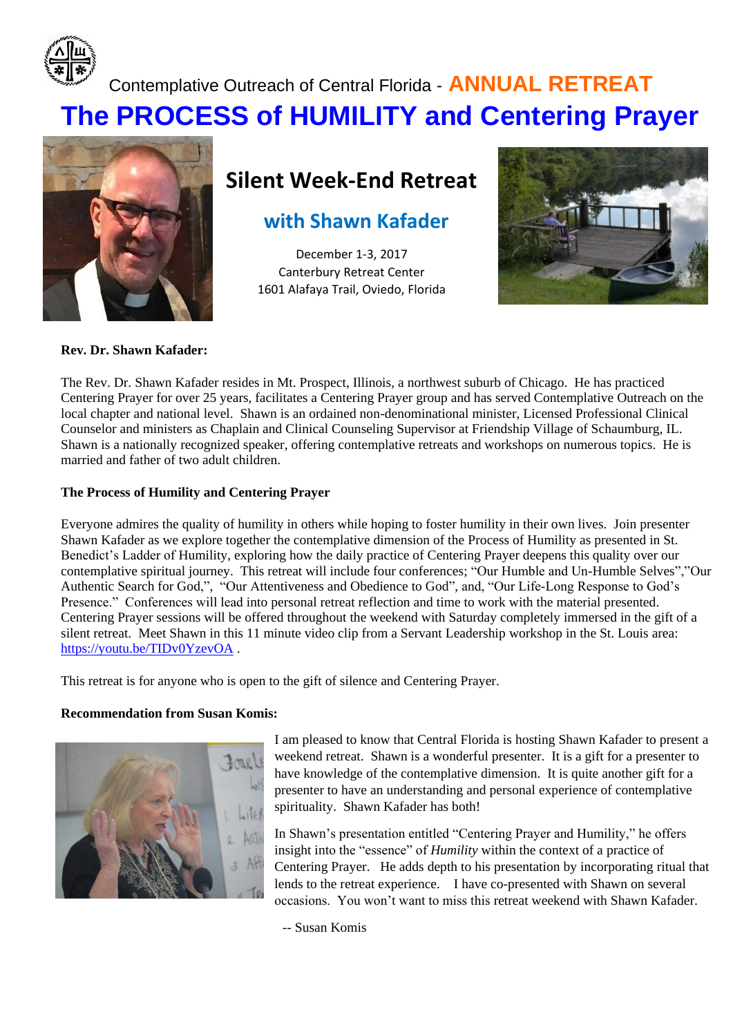

# Contemplative Outreach of Central Florida - **ANNUAL RETREAT The PROCESS of HUMILITY and Centering Prayer**



## **Silent Week-End Retreat**

## **with Shawn Kafader**

December 1-3, 2017 Canterbury Retreat Center 1601 Alafaya Trail, Oviedo, Florida



#### **Rev. Dr. Shawn Kafader:**

The Rev. Dr. Shawn Kafader resides in Mt. Prospect, Illinois, a northwest suburb of Chicago. He has practiced Centering Prayer for over 25 years, facilitates a Centering Prayer group and has served Contemplative Outreach on the local chapter and national level. Shawn is an ordained non-denominational minister, Licensed Professional Clinical Counselor and ministers as Chaplain and Clinical Counseling Supervisor at Friendship Village of Schaumburg, IL. Shawn is a nationally recognized speaker, offering contemplative retreats and workshops on numerous topics. He is married and father of two adult children.

#### **The Process of Humility and Centering Prayer**

Everyone admires the quality of humility in others while hoping to foster humility in their own lives. Join presenter Shawn Kafader as we explore together the contemplative dimension of the Process of Humility as presented in St. Benedict's Ladder of Humility, exploring how the daily practice of Centering Prayer deepens this quality over our contemplative spiritual journey. This retreat will include four conferences; "Our Humble and Un-Humble Selves","Our Authentic Search for God,", "Our Attentiveness and Obedience to God", and, "Our Life-Long Response to God's Presence." Conferences will lead into personal retreat reflection and time to work with the material presented. Centering Prayer sessions will be offered throughout the weekend with Saturday completely immersed in the gift of a silent retreat. Meet Shawn in this 11 minute video clip from a Servant Leadership workshop in the St. Louis area: <https://youtu.be/TIDv0YzevOA> .

This retreat is for anyone who is open to the gift of silence and Centering Prayer.

#### **Recommendation from Susan Komis:**



I am pleased to know that Central Florida is hosting Shawn Kafader to present a weekend retreat. Shawn is a wonderful presenter. It is a gift for a presenter to have knowledge of the contemplative dimension. It is quite another gift for a presenter to have an understanding and personal experience of contemplative spirituality. Shawn Kafader has both!

In Shawn's presentation entitled "Centering Prayer and Humility," he offers insight into the "essence" of *Humility* within the context of a practice of Centering Prayer. He adds depth to his presentation by incorporating ritual that lends to the retreat experience. I have co-presented with Shawn on several occasions. You won't want to miss this retreat weekend with Shawn Kafader.

-- Susan Komis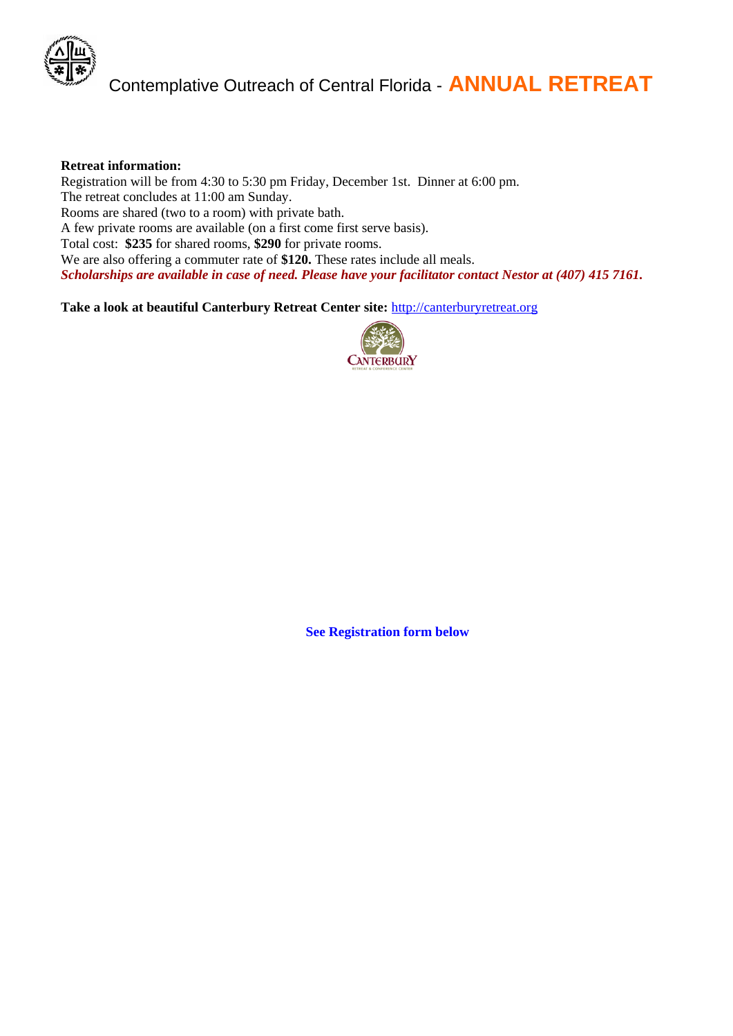

#### **Retreat information:**

Registration will be from 4:30 to 5:30 pm Friday, December 1st. Dinner at 6:00 pm. The retreat concludes at 11:00 am Sunday. Rooms are shared (two to a room) with private bath. A few private rooms are available (on a first come first serve basis). Total cost: **\$235** for shared rooms, **\$290** for private rooms. We are also offering a commuter rate of \$120. These rates include all meals. *Scholarships are available in case of need. Please have your facilitator contact Nestor at (407) 415 7161.*

**Take a look at beautiful Canterbury Retreat Center site:** [http://canterburyretreat.org](http://canterburyretreat.org/) 



**See Registration form below**